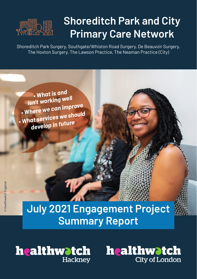

# **Shoreditch Park and City Primary Care Network**

Shoreditch Park Surgery, Southgate/Whiston Road Surgery, De Beauvoir Surgery, The Hoxton Surgery, The Lawson Practice, The Neaman Practice (City)

 *• What is and isn't working well • Where we can improve • What services we should develop in future*

# **July 2021 Engagement Project Summary Report**

**healthwatch Hackney** 

healthwatch **City of London**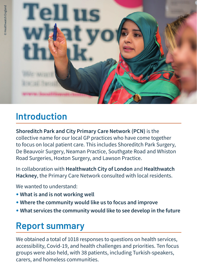

## **Introduction**

**Shoreditch Park and City Primary Care Network (PCN)** is the collective name for our local GP practices who have come together to focus on local patient care. This includes Shoreditch Park Surgery, De Beauvoir Surgery, Neaman Practice, Southgate Road and Whiston Road Surgeries, Hoxton Surgery, and Lawson Practice.

In collaboration with **Healthwatch City of London** and **Healthwatch Hackney**, the Primary Care Network consulted with local residents.

We wanted to understand:

- **• What is and is not working well**
- **• Where the community would like us to focus and improve**
- **• What services the community would like to see develop in the future**

### **Report summary**

We obtained a total of 1018 responses to questions on health services, accessibility, Covid-19, and health challenges and priorities. Ten focus groups were also held, with 38 patients, including Turkish-speakers, carers, and homeless communities.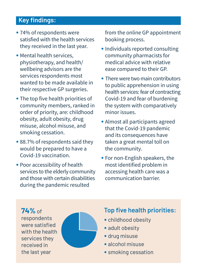### **Key findings:**

- **•** 74% of respondents were satisfied with the health services they received in the last year.
- **•** Mental health services, physiotherapy, and health/ wellbeing advisors are the services respondents most wanted to be made available in their respective GP surgeries.
- **•** The top five health priorities of community members, ranked in order of priority, are: childhood obesity, adult obesity, drug misuse, alcohol misuse, and smoking cessation.
- 88.7% of respondents said they would be prepared to have a Covid-19 vaccination.
- **•** Poor accessibility of health services to the elderly community and those with certain disabilities during the pandemic resulted

from the online GP appointment booking process.

- **•** Individuals reported consulting community pharmacists for medical advice with relative ease compared to their GP.
- There were two main contributors to public apprehension in using health services: fear of contracting Covid-19 and fear of burdening the system with comparatively minor issues.
- **•** Almost all participants agreed that the Covid-19 pandemic and its consequences have taken a great mental toll on the community.
- **•** For non-English speakers, the most identified problem in accessing health care was a communication barrier.

**74%** of respondents were satisfied with the health services they received in the last year



#### **Top five health priorities:**

- **•** childhood obesity
- adult obesity
- **•** drug misuse
- **•** alcohol misuse
- **•** smoking cessation